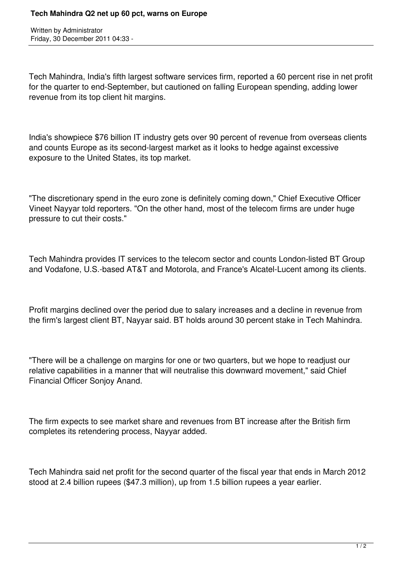Written by Administrator Friday, 30 December 2011 04:33 -

Tech Mahindra, India's fifth largest software services firm, reported a 60 percent rise in net profit for the quarter to end-September, but cautioned on falling European spending, adding lower revenue from its top client hit margins.

India's showpiece \$76 billion IT industry gets over 90 percent of revenue from overseas clients and counts Europe as its second-largest market as it looks to hedge against excessive exposure to the United States, its top market.

"The discretionary spend in the euro zone is definitely coming down," Chief Executive Officer Vineet Nayyar told reporters. "On the other hand, most of the telecom firms are under huge pressure to cut their costs."

Tech Mahindra provides IT services to the telecom sector and counts London-listed BT Group and Vodafone, U.S.-based AT&T and Motorola, and France's Alcatel-Lucent among its clients.

Profit margins declined over the period due to salary increases and a decline in revenue from the firm's largest client BT, Nayyar said. BT holds around 30 percent stake in Tech Mahindra.

"There will be a challenge on margins for one or two quarters, but we hope to readjust our relative capabilities in a manner that will neutralise this downward movement," said Chief Financial Officer Sonjoy Anand.

The firm expects to see market share and revenues from BT increase after the British firm completes its retendering process, Nayyar added.

Tech Mahindra said net profit for the second quarter of the fiscal year that ends in March 2012 stood at 2.4 billion rupees (\$47.3 million), up from 1.5 billion rupees a year earlier.